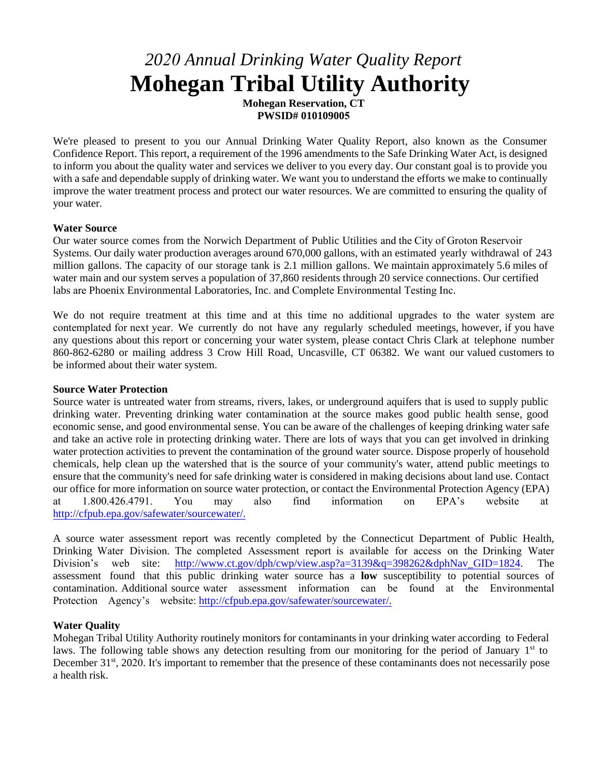# *2020 Annual Drinking Water Quality Report* **Mohegan Tribal Utility Authority**

**Mohegan Reservation, CT PWSID# 010109005**

We're pleased to present to you our Annual Drinking Water Quality Report, also known as the Consumer Confidence Report. This report, a requirement of the 1996 amendments to the Safe Drinking Water Act, is designed to inform you about the quality water and services we deliver to you every day. Our constant goal is to provide you with a safe and dependable supply of drinking water. We want you to understand the efforts we make to continually improve the water treatment process and protect our water resources. We are committed to ensuring the quality of your water.

#### **Water Source**

Our water source comes from the Norwich Department of Public Utilities and the City of Groton Reservoir Systems. Our daily water production averages around 670,000 gallons, with an estimated yearly withdrawal of 243 million gallons. The capacity of our storage tank is 2.1 million gallons. We maintain approximately 5.6 miles of water main and our system serves a population of 37,860 residents through 20 service connections. Our certified labs are Phoenix Environmental Laboratories, Inc. and Complete Environmental Testing Inc.

We do not require treatment at this time and at this time no additional upgrades to the water system are contemplated for next year. We currently do not have any regularly scheduled meetings, however, if you have any questions about this report or concerning your water system, please contact Chris Clark at telephone number 860-862-6280 or mailing address 3 Crow Hill Road, Uncasville, CT 06382. We want our valued customers to be informed about their water system.

#### **Source Water Protection**

Source water is untreated water from streams, rivers, lakes, or underground aquifers that is used to supply public drinking water. Preventing drinking water contamination at the source makes good public health sense, good economic sense, and good environmental sense. You can be aware of the challenges of keeping drinking water safe and take an active role in protecting drinking water. There are lots of ways that you can get involved in drinking water protection activities to prevent the contamination of the ground water source. Dispose properly of household chemicals, help clean up the watershed that is the source of your community's water, attend public meetings to ensure that the community's need for safe drinking water is considered in making decisions about land use. Contact our office for more information on source water protection, or contact the Environmental Protection Agency (EPA) at 1.800.426.4791. You may also find information on EPA's website at http://cfpub.epa.gov/safewater/sourcewater/.

[A source water assessment report was rec](http://cfpub.epa.gov/safewater/sourcewater/)ently completed by the Connecticut Department of Public Health, Drinking Water Division. The completed Assessment report is available for access on the Drinking Water Division's web site: [http://www.ct.gov/dph/cwp/view.asp?a=3139&q=398262&dphNav\\_GID=1824.](http://www.ct.gov/dph/cwp/view.asp?a=3139&q=398262&dphNav_GID=1824) The assessment found that this public drinking water source has a **low** susceptibility to potential sources of contamination. Additional source water assessment information can be found at the Environmental Protection Agency's website: http://cfpub.epa.gov/safewater/sourcewater/.

### **[Water Quality](http://cfpub.epa.gov/safewater/sourcewater/)**

Mohegan Tribal Utility Authority routinely monitors for contaminants in your drinking water according to Federal laws. The following table shows any detection resulting from our monitoring for the period of January 1<sup>st</sup> to December 31<sup>st</sup>, 2020. It's important to remember that the presence of these contaminants does not necessarily pose a health risk.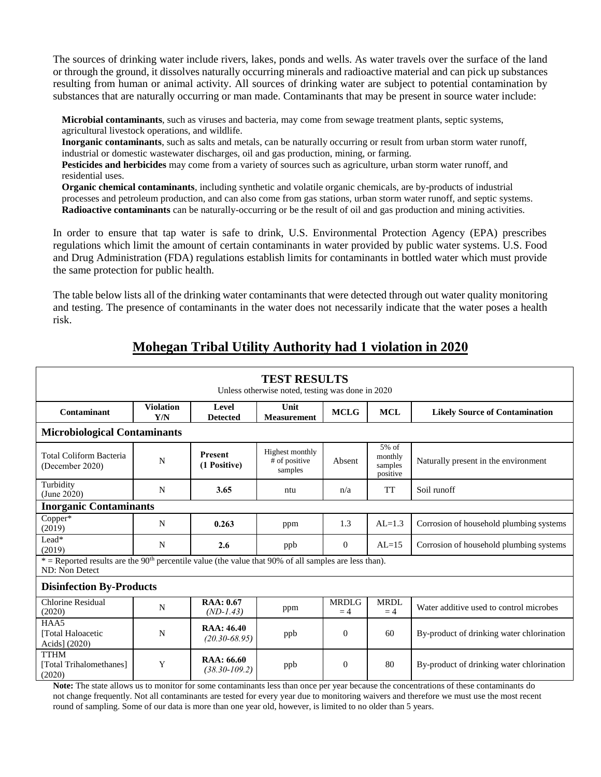The sources of drinking water include rivers, lakes, ponds and wells. As water travels over the surface of the land or through the ground, it dissolves naturally occurring minerals and radioactive material and can pick up substances resulting from human or animal activity. All sources of drinking water are subject to potential contamination by substances that are naturally occurring or man made. Contaminants that may be present in source water include:

**Microbial contaminants**, such as viruses and bacteria, may come from sewage treatment plants, septic systems, agricultural livestock operations, and wildlife.

**Inorganic contaminants**, such as salts and metals, can be naturally occurring or result from urban storm water runoff, industrial or domestic wastewater discharges, oil and gas production, mining, or farming.

**Pesticides and herbicides** may come from a variety of sources such as agriculture, urban storm water runoff, and residential uses.

**Organic chemical contaminants**, including synthetic and volatile organic chemicals, are by-products of industrial processes and petroleum production, and can also come from gas stations, urban storm water runoff, and septic systems. **Radioactive contaminants** can be naturally-occurring or be the result of oil and gas production and mining activities.

In order to ensure that tap water is safe to drink, U.S. Environmental Protection Agency (EPA) prescribes regulations which limit the amount of certain contaminants in water provided by public water systems. U.S. Food and Drug Administration (FDA) regulations establish limits for contaminants in bottled water which must provide the same protection for public health.

The table below lists all of the drinking water contaminants that were detected through out water quality monitoring and testing. The presence of contaminants in the water does not necessarily indicate that the water poses a health risk.

| <b>TEST RESULTS</b><br>Unless otherwise noted, testing was done in 2020                                                               |                         |                                         |                                             |                      |                                         |                                                            |
|---------------------------------------------------------------------------------------------------------------------------------------|-------------------------|-----------------------------------------|---------------------------------------------|----------------------|-----------------------------------------|------------------------------------------------------------|
| Contaminant                                                                                                                           | <b>Violation</b><br>Y/N | Level<br><b>Detected</b>                | Unit<br><b>Measurement</b>                  | <b>MCLG</b>          | <b>MCL</b>                              | <b>Likely Source of Contamination</b>                      |
| <b>Microbiological Contaminants</b>                                                                                                   |                         |                                         |                                             |                      |                                         |                                                            |
| Total Coliform Bacteria<br>(December 2020)                                                                                            | N                       | <b>Present</b><br>(1 Positive)          | Highest monthly<br># of positive<br>samples | Absent               | 5% of<br>monthly<br>samples<br>positive | Naturally present in the environment                       |
| Turbidity<br>(June 2020)                                                                                                              | N                       | 3.65                                    | ntu                                         | n/a                  | <b>TT</b>                               | Soil runoff                                                |
| <b>Inorganic Contaminants</b>                                                                                                         |                         |                                         |                                             |                      |                                         |                                                            |
| Copper*<br>(2019)                                                                                                                     | $\mathbf N$             | 0.263                                   | ppm                                         | 1.3                  | $AL=1.3$                                | Corrosion of household plumbing systems                    |
| Lead*<br>(2019)                                                                                                                       | N                       | 2.6                                     | ppb                                         | $\overline{0}$       | $AL=15$                                 | Corrosion of household plumbing systems                    |
| $*$ = Reported results are the 90 <sup>th</sup> percentile value (the value that 90% of all samples are less than).<br>ND: Non Detect |                         |                                         |                                             |                      |                                         |                                                            |
| <b>Disinfection By-Products</b>                                                                                                       |                         |                                         |                                             |                      |                                         |                                                            |
| <b>Chlorine Residual</b><br>(2020)                                                                                                    | N                       | <b>RAA: 0.67</b><br>$(ND-1.43)$         | ppm                                         | <b>MRDLG</b><br>$=4$ | <b>MRDL</b><br>$=4$                     | Water additive used to control microbes                    |
| HAA5<br>[Total Haloacetic<br>Acids] (2020)                                                                                            | N                       | <b>RAA</b> : 46.40<br>$(20.30 - 68.95)$ | ppb                                         | $\Omega$             | 60                                      | By-product of drinking water chlorination                  |
| <b>TTHM</b><br>[Total Trihalomethanes]<br>(2020)<br>$\sim$                                                                            | Y<br>$\sim$             | RAA: 66.60<br>$(38.30 - 109.2)$         | ppb                                         | $\overline{0}$       | 80                                      | By-product of drinking water chlorination<br>$\sim$ $\sim$ |

# **Mohegan Tribal Utility Authority had 1 violation in 2020**

**Note:** The state allows us to monitor for some contaminants less than once per year because the concentrations of these contaminants do not change frequently. Not all contaminants are tested for every year due to monitoring waivers and therefore we must use the most recent round of sampling. Some of our data is more than one year old, however, is limited to no older than 5 years.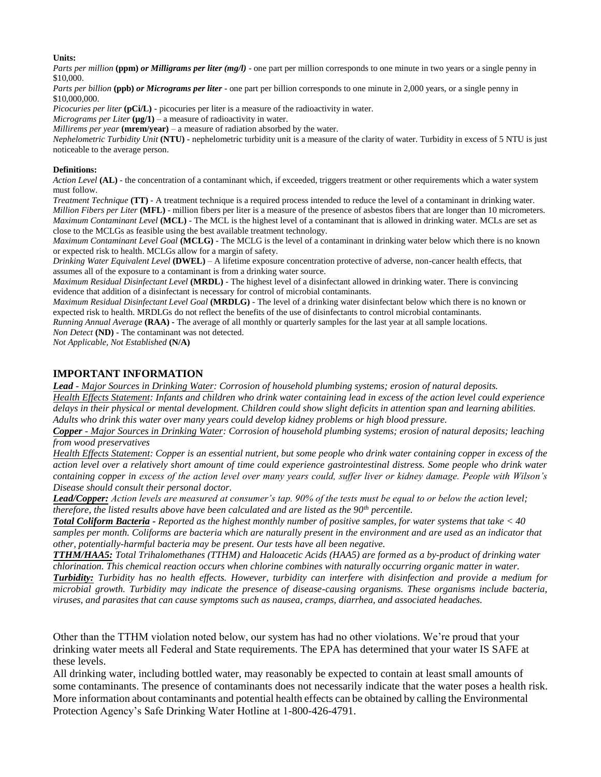#### **Units:**

*Parts per million* (ppm) *or Milligrams per liter (mg/l)* - one part per million corresponds to one minute in two years or a single penny in \$10,000.

*Parts per billion* (ppb) *or Micrograms per liter* - one part per billion corresponds to one minute in 2,000 years, or a single penny in \$10,000,000.

*Picocuries per liter* (pCi/L) - picocuries per liter is a measure of the radioactivity in water.

*Micrograms per Liter*  $(\mu g/1)$  – a measure of radioactivity in water.

*Millirems per year* **(mrem/year)** – a measure of radiation absorbed by the water.

*Nephelometric Turbidity Unit* **(NTU)** - nephelometric turbidity unit is a measure of the clarity of water. Turbidity in excess of 5 NTU is just noticeable to the average person.

#### **Definitions:**

*Action Level* **(AL)** - the concentration of a contaminant which, if exceeded, triggers treatment or other requirements which a water system must follow.

*Treatment Technique* **(TT)** - A treatment technique is a required process intended to reduce the level of a contaminant in drinking water. *Million Fibers per Liter* **(MFL)** - million fibers per liter is a measure of the presence of asbestos fibers that are longer than 10 micrometers. *Maximum Contaminant Level* (MCL) - The MCL is the highest level of a contaminant that is allowed in drinking water. MCLs are set as close to the MCLGs as feasible using the best available treatment technology.

*Maximum Contaminant Level Goal* **(MCLG)** - The MCLG is the level of a contaminant in drinking water below which there is no known or expected risk to health. MCLGs allow for a margin of safety.

*Drinking Water Equivalent Level* **(DWEL)** *–* A lifetime exposure concentration protective of adverse, non-cancer health effects, that assumes all of the exposure to a contaminant is from a drinking water source.

*Maximum Residual Disinfectant Level* **(MRDL)** - The highest level of a disinfectant allowed in drinking water. There is convincing evidence that addition of a disinfectant is necessary for control of microbial contaminants.

*Maximum Residual Disinfectant Level Goal* **(MRDLG)** - The level of a drinking water disinfectant below which there is no known or expected risk to health. MRDLGs do not reflect the benefits of the use of disinfectants to control microbial contaminants.

*Running Annual Average* (RAA) - The average of all monthly or quarterly samples for the last year at all sample locations. *Non Detect* **(ND)** - The contaminant was not detected.

*Not Applicable, Not Established* **(N/A)** 

### **IMPORTANT INFORMATION**

*Lead - Major Sources in Drinking Water: Corrosion of household plumbing systems; erosion of natural deposits. Health Effects Statement: Infants and children who drink water containing lead in excess of the action level could experience delays in their physical or mental development. Children could show slight deficits in attention span and learning abilities. Adults who drink this water over many years could develop kidney problems or high blood pressure.* 

*Copper - Major Sources in Drinking Water: Corrosion of household plumbing systems; erosion of natural deposits; leaching from wood preservatives* 

*Health Effects Statement: Copper is an essential nutrient, but some people who drink water containing copper in excess of the action level over a relatively short amount of time could experience gastrointestinal distress. Some people who drink water containing copper in excess of the action level over many years could, suffer liver or kidney damage. People with Wilson's Disease should consult their personal doctor.* 

*Lead/Copper: Action levels are measured at consumer's tap. 90% of the tests must be equal to or below the action level; therefore, the listed results above have been calculated and are listed as the 90th percentile.* 

*Total Coliform Bacteria - Reported as the highest monthly number of positive samples, for water systems that take < 40 samples per month. Coliforms are bacteria which are naturally present in the environment and are used as an indicator that other, potentially-harmful bacteria may be present. Our tests have all been negative.* 

*TTHM/HAA5: Total Trihalomethanes (TTHM) and Haloacetic Acids (HAA5) are formed as a by-product of drinking water chlorination. This chemical reaction occurs when chlorine combines with naturally occurring organic matter in water. Turbidity: Turbidity has no health effects. However, turbidity can interfere with disinfection and provide a medium for microbial growth. Turbidity may indicate the presence of disease-causing organisms. These organisms include bacteria, viruses, and parasites that can cause symptoms such as nausea, cramps, diarrhea, and associated headaches.* 

Other than the TTHM violation noted below, our system has had no other violations. We're proud that your drinking water meets all Federal and State requirements. The EPA has determined that your water IS SAFE at these levels.

All drinking water, including bottled water, may reasonably be expected to contain at least small amounts of some contaminants. The presence of contaminants does not necessarily indicate that the water poses a health risk. More information about contaminants and potential health effects can be obtained by calling the Environmental Protection Agency's Safe Drinking Water Hotline at 1-800-426-4791.